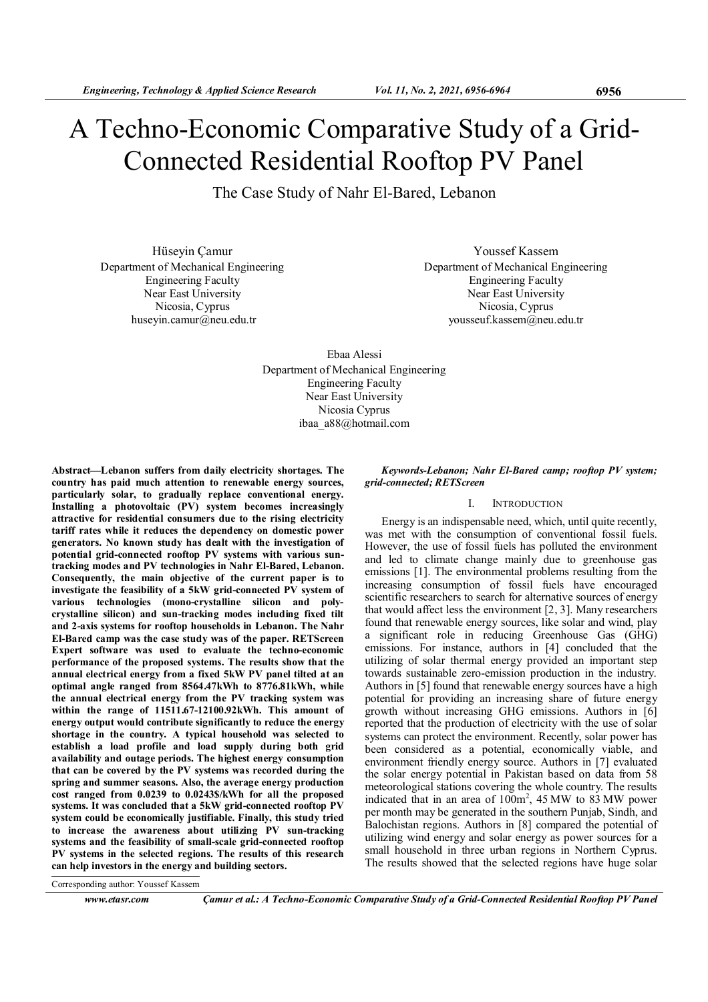# A Techno-Economic Comparative Study of a Grid-Connected Residential Rooftop PV Panel

The Case Study of Nahr El-Bared, Lebanon

Hüseyin Çamur Department of Mechanical Engineering Engineering Faculty Near East University Nicosia, Cyprus huseyin.camur@neu.edu.tr

Youssef Kassem Department of Mechanical Engineering Engineering Faculty Near East University Nicosia, Cyprus yousseuf.kassem@neu.edu.tr

Ebaa Alessi Department of Mechanical Engineering Engineering Faculty Near East University Nicosia Cyprus ibaa\_a88@hotmail.com

Abstract—Lebanon suffers from daily electricity shortages. The country has paid much attention to renewable energy sources, particularly solar, to gradually replace conventional energy. Installing a photovoltaic (PV) system becomes increasingly attractive for residential consumers due to the rising electricity tariff rates while it reduces the dependency on domestic power generators. No known study has dealt with the investigation of potential grid-connected rooftop PV systems with various suntracking modes and PV technologies in Nahr El-Bared, Lebanon. Consequently, the main objective of the current paper is to investigate the feasibility of a 5kW grid-connected PV system of various technologies (mono-crystalline silicon and polycrystalline silicon) and sun-tracking modes including fixed tilt and 2-axis systems for rooftop households in Lebanon. The Nahr El-Bared camp was the case study was of the paper. RETScreen Expert software was used to evaluate the techno-economic performance of the proposed systems. The results show that the annual electrical energy from a fixed 5kW PV panel tilted at an optimal angle ranged from 8564.47kWh to 8776.81kWh, while the annual electrical energy from the PV tracking system was within the range of 11511.67-12100.92kWh. This amount of energy output would contribute significantly to reduce the energy shortage in the country. A typical household was selected to establish a load profile and load supply during both grid availability and outage periods. The highest energy consumption that can be covered by the PV systems was recorded during the spring and summer seasons. Also, the average energy production cost ranged from 0.0239 to 0.0243\$/kWh for all the proposed systems. It was concluded that a 5kW grid-connected rooftop PV system could be economically justifiable. Finally, this study tried to increase the awareness about utilizing PV sun-tracking systems and the feasibility of small-scale grid-connected rooftop PV systems in the selected regions. The results of this research can help investors in the energy and building sectors.

Keywords-Lebanon; Nahr El-Bared camp; rooftop PV system; grid-connected; RETScreen

# I. INTRODUCTION

Energy is an indispensable need, which, until quite recently, was met with the consumption of conventional fossil fuels. However, the use of fossil fuels has polluted the environment and led to climate change mainly due to greenhouse gas emissions [1]. The environmental problems resulting from the increasing consumption of fossil fuels have encouraged scientific researchers to search for alternative sources of energy that would affect less the environment [2, 3]. Many researchers found that renewable energy sources, like solar and wind, play a significant role in reducing Greenhouse Gas (GHG) emissions. For instance, authors in [4] concluded that the utilizing of solar thermal energy provided an important step towards sustainable zero-emission production in the industry. Authors in [5] found that renewable energy sources have a high potential for providing an increasing share of future energy growth without increasing GHG emissions. Authors in [6] reported that the production of electricity with the use of solar systems can protect the environment. Recently, solar power has been considered as a potential, economically viable, and environment friendly energy source. Authors in [7] evaluated the solar energy potential in Pakistan based on data from 58 meteorological stations covering the whole country. The results indicated that in an area of  $100 \text{m}^2$ , 45 MW to 83 MW power per month may be generated in the southern Punjab, Sindh, and Balochistan regions. Authors in [8] compared the potential of utilizing wind energy and solar energy as power sources for a small household in three urban regions in Northern Cyprus. The results showed that the selected regions have huge solar

www.etasr.com Camur et al.: A Techno-Economic Comparative Study of a Grid-Connected Residential Rooftop PV Panel

Corresponding author: Youssef Kassem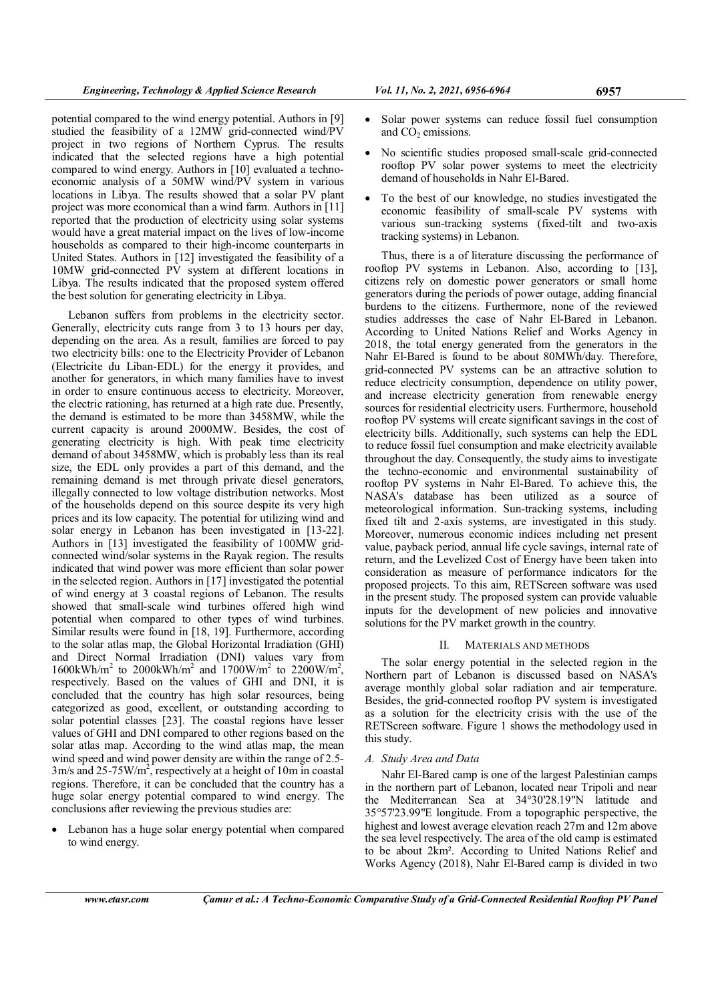potential compared to the wind energy potential. Authors in [9] studied the feasibility of a 12MW grid-connected wind/PV project in two regions of Northern Cyprus. The results indicated that the selected regions have a high potential compared to wind energy. Authors in [10] evaluated a technoeconomic analysis of a 50MW wind/PV system in various locations in Libya. The results showed that a solar PV plant project was more economical than a wind farm. Authors in [11] reported that the production of electricity using solar systems would have a great material impact on the lives of low-income households as compared to their high-income counterparts in United States. Authors in [12] investigated the feasibility of a 10MW grid-connected PV system at different locations in Libya. The results indicated that the proposed system offered the best solution for generating electricity in Libya.

Lebanon suffers from problems in the electricity sector. Generally, electricity cuts range from 3 to 13 hours per day, depending on the area. As a result, families are forced to pay two electricity bills: one to the Electricity Provider of Lebanon (Electricite du Liban-EDL) for the energy it provides, and another for generators, in which many families have to invest in order to ensure continuous access to electricity. Moreover, the electric rationing, has returned at a high rate due. Presently, the demand is estimated to be more than 3458MW, while the current capacity is around 2000MW. Besides, the cost of generating electricity is high. With peak time electricity demand of about 3458MW, which is probably less than its real size, the EDL only provides a part of this demand, and the remaining demand is met through private diesel generators, illegally connected to low voltage distribution networks. Most of the households depend on this source despite its very high prices and its low capacity. The potential for utilizing wind and solar energy in Lebanon has been investigated in [13-22]. Authors in [13] investigated the feasibility of 100MW gridconnected wind/solar systems in the Rayak region. The results indicated that wind power was more efficient than solar power in the selected region. Authors in [17] investigated the potential of wind energy at 3 coastal regions of Lebanon. The results showed that small-scale wind turbines offered high wind potential when compared to other types of wind turbines. Similar results were found in [18, 19]. Furthermore, according to the solar atlas map, the Global Horizontal Irradiation (GHI) and Direct Normal Irradiation (DNI) values vary from  $1600$ kWh/m<sup>2</sup> to 2000kWh/m<sup>2</sup> and  $1700$ W/m<sup>2</sup> to 2200W/m<sup>2</sup>, respectively. Based on the values of GHI and DNI, it is concluded that the country has high solar resources, being categorized as good, excellent, or outstanding according to solar potential classes [23]. The coastal regions have lesser values of GHI and DNI compared to other regions based on the solar atlas map. According to the wind atlas map, the mean wind speed and wind power density are within the range of 2.5-  $3m/s$  and  $25-75W/m^2$ , respectively at a height of 10m in coastal regions. Therefore, it can be concluded that the country has a huge solar energy potential compared to wind energy. The conclusions after reviewing the previous studies are:

• Lebanon has a huge solar energy potential when compared to wind energy.

- Solar power systems can reduce fossil fuel consumption and  $CO<sub>2</sub>$  emissions.
- No scientific studies proposed small-scale grid-connected rooftop PV solar power systems to meet the electricity demand of households in Nahr El-Bared.
- To the best of our knowledge, no studies investigated the economic feasibility of small-scale PV systems with various sun-tracking systems (fixed-tilt and two-axis tracking systems) in Lebanon.

Thus, there is a of literature discussing the performance of rooftop PV systems in Lebanon. Also, according to [13], citizens rely on domestic power generators or small home generators during the periods of power outage, adding financial burdens to the citizens. Furthermore, none of the reviewed studies addresses the case of Nahr El-Bared in Lebanon. According to United Nations Relief and Works Agency in 2018, the total energy generated from the generators in the Nahr El-Bared is found to be about 80MWh/day. Therefore, grid-connected PV systems can be an attractive solution to reduce electricity consumption, dependence on utility power, and increase electricity generation from renewable energy sources for residential electricity users. Furthermore, household rooftop PV systems will create significant savings in the cost of electricity bills. Additionally, such systems can help the EDL to reduce fossil fuel consumption and make electricity available throughout the day. Consequently, the study aims to investigate the techno-economic and environmental sustainability of rooftop PV systems in Nahr El-Bared. To achieve this, the NASA's database has been utilized as a source of meteorological information. Sun-tracking systems, including fixed tilt and 2-axis systems, are investigated in this study. Moreover, numerous economic indices including net present value, payback period, annual life cycle savings, internal rate of return, and the Levelized Cost of Energy have been taken into consideration as measure of performance indicators for the proposed projects. To this aim, RETScreen software was used in the present study. The proposed system can provide valuable inputs for the development of new policies and innovative solutions for the PV market growth in the country.

#### II. MATERIALS AND METHODS

The solar energy potential in the selected region in the Northern part of Lebanon is discussed based on NASA's average monthly global solar radiation and air temperature. Besides, the grid-connected rooftop PV system is investigated as a solution for the electricity crisis with the use of the RETScreen software. Figure 1 shows the methodology used in this study.

# A. Study Area and Data

Nahr El-Bared camp is one of the largest Palestinian camps in the northern part of Lebanon, located near Tripoli and near the Mediterranean Sea at 34°30'28.19"N latitude and 35°57'23.99"E longitude. From a topographic perspective, the highest and lowest average elevation reach 27m and 12m above the sea level respectively. The area of the old camp is estimated to be about 2km². According to United Nations Relief and Works Agency (2018), Nahr El-Bared camp is divided in two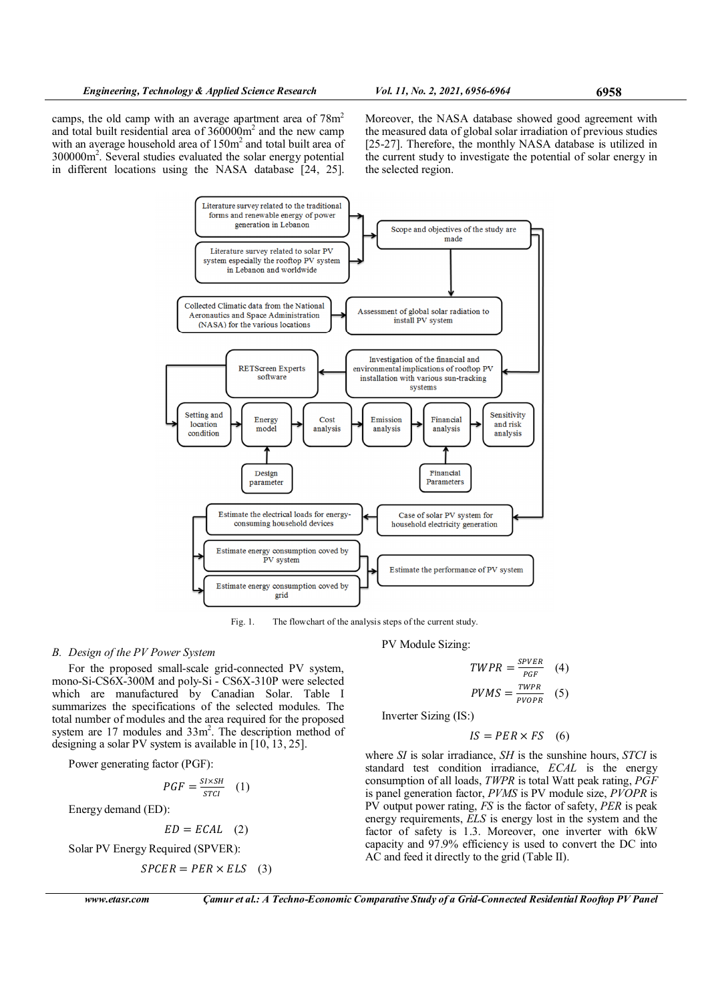camps, the old camp with an average apartment area of  $78m<sup>2</sup>$ and total built residential area of  $360000m^2$  and the new camp with an average household area of  $150m<sup>2</sup>$  and total built area of 300000m<sup>2</sup> . Several studies evaluated the solar energy potential in different locations using the NASA database [24, 25].

Moreover, the NASA database showed good agreement with the measured data of global solar irradiation of previous studies [25-27]. Therefore, the monthly NASA database is utilized in the current study to investigate the potential of solar energy in the selected region.



Fig. 1. The flowchart of the analysis steps of the current study.

# B. Design of the PV Power System

For the proposed small-scale grid-connected PV system, mono-Si-CS6X-300M and poly-Si - CS6X-310P were selected which are manufactured by Canadian Solar. Table I summarizes the specifications of the selected modules. The total number of modules and the area required for the proposed system are 17 modules and 33m<sup>2</sup>. The description method of designing a solar PV system is available in [10, 13, 25].

Power generating factor (PGF):

$$
PGF = \frac{SI \times SH}{STCI} \quad (1)
$$

Energy demand (ED):

$$
ED = ECAL \quad (2)
$$

Solar PV Energy Required (SPVER):

$$
SPCER = PER \times ELS \quad (3)
$$

www.etasr.com Camur et al.: A Techno-Economic Comparative Study of a Grid-Connected Residential Rooftop PV Panel

PV Module Sizing:

$$
TWPR = \frac{S\text{PVER}}{\text{PGF}} \quad (4)
$$
\n
$$
PVMS = \frac{TWPR}{PVOPR} \quad (5)
$$

Inverter Sizing (IS:)

$$
IS = PER \times FS \quad (6)
$$

where  $SI$  is solar irradiance,  $SH$  is the sunshine hours,  $STCI$  is standard test condition irradiance, ECAL is the energy consumption of all loads, TWPR is total Watt peak rating, PGF is panel generation factor, PVMS is PV module size, PVOPR is  $\overrightarrow{PV}$  output power rating,  $\overrightarrow{FS}$  is the factor of safety,  $\overrightarrow{PER}$  is peak energy requirements, ELS is energy lost in the system and the factor of safety is 1.3. Moreover, one inverter with 6kW capacity and 97.9% efficiency is used to convert the DC into AC and feed it directly to the grid (Table II).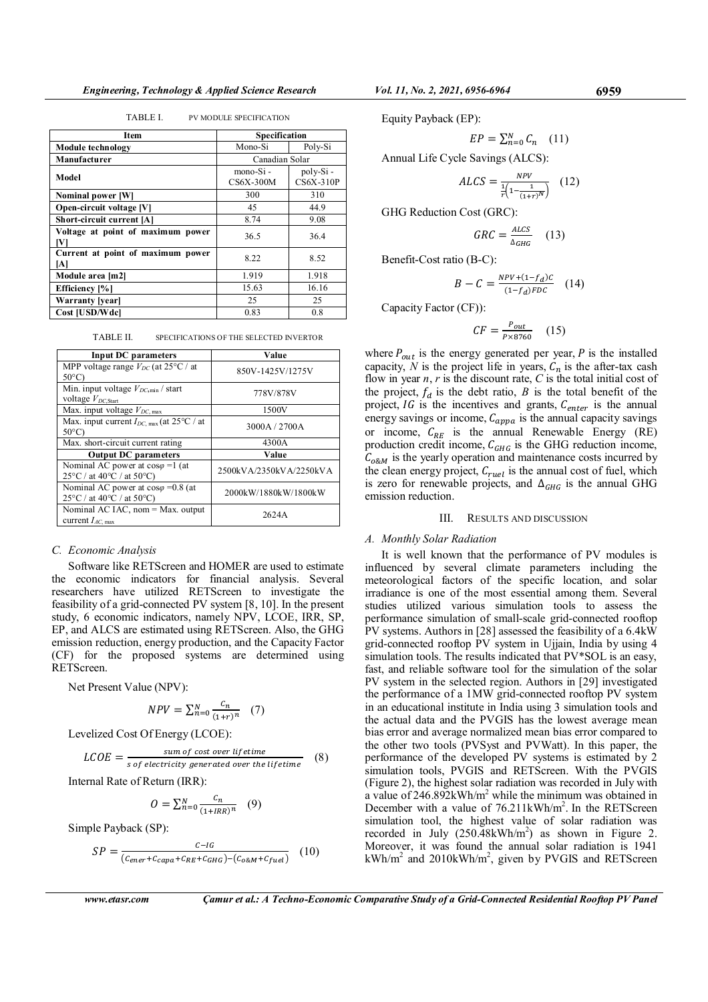TABLE I. PV MODULE SPECIFICATION

| Item                                     | <b>Specification</b>    |                              |
|------------------------------------------|-------------------------|------------------------------|
| <b>Module technology</b>                 | Mono-Si                 | Poly-Si                      |
| Manufacturer                             | Canadian Solar          |                              |
| Model                                    | mono-Si-<br>$CS6X-300M$ | poly-Si-<br><b>CS6X-310P</b> |
| Nominal power [W]                        | 300                     | 310                          |
| Open-circuit voltage [V]                 | 45                      | 44.9                         |
| Short-circuit current [A]                | 8.74                    | 9.08                         |
| Voltage at point of maximum power<br>IVI | 36.5                    | 36.4                         |
| Current at point of maximum power<br>ΙAΙ | 8.22                    | 8.52                         |
| Module area [m2]                         | 1.919                   | 1.918                        |
| Efficiency [%]                           | 15.63                   | 16.16                        |
| <b>Warranty</b> [year]                   | 25                      | 25                           |
| Cost [USD/Wdcl                           | 0.83                    | 0.8                          |

TABLE II. SPECIFICATIONS OF THE SELECTED INVERTOR

| <b>Input DC</b> parameters                                                                              | Value                   |
|---------------------------------------------------------------------------------------------------------|-------------------------|
| MPP voltage range $V_{DC}$ (at 25°C / at<br>$50^{\circ}$ C)                                             | 850V-1425V/1275V        |
| Min. input voltage $V_{DC,min}$ / start<br>voltage $V_{DC\text{Start}}$                                 | 778V/878V               |
| Max. input voltage $V_{DC, max}$                                                                        | 1500V                   |
| Max. input current $I_{DC, max}$ (at 25 °C / at<br>$50^{\circ}$ C)                                      | 3000A/2700A             |
| Max. short-circuit current rating                                                                       | 4300A                   |
| <b>Output DC</b> parameters                                                                             | Value                   |
| Nominal AC power at $cos\varphi = 1$ (at<br>$25^{\circ}$ C / at 40 $^{\circ}$ C / at 50 $^{\circ}$ C)   | 2500kVA/2350kVA/2250kVA |
| Nominal AC power at $cos\varphi = 0.8$ (at<br>$25^{\circ}$ C / at 40 $^{\circ}$ C / at 50 $^{\circ}$ C) | 2000kW/1880kW/1800kW    |
| Nominal AC IAC, nom = Max. output<br>current $I_{AC, max}$                                              | 2624A                   |

#### C. Economic Analysis

Software like RETScreen and HOMER are used to estimate the economic indicators for financial analysis. Several researchers have utilized RETScreen to investigate the feasibility of a grid-connected PV system [8, 10]. In the present study, 6 economic indicators, namely NPV, LCOE, IRR, SP, EP, and ALCS are estimated using RETScreen. Also, the GHG emission reduction, energy production, and the Capacity Factor (CF) for the proposed systems are determined using RETScreen.

Net Present Value (NPV):

$$
NPV = \sum_{n=0}^{N} \frac{c_n}{(1+r)^n} \quad (7)
$$

Levelized Cost Of Energy (LCOE):

$$
LCOE = \frac{sum\ of\ cost\ over\ lifetime}{s\ of\ electricity\ generated\ over\ the\ lifetime} \qquad (8)
$$

Internal Rate of Return (IRR):

$$
O = \sum_{n=0}^{N} \frac{c_n}{(1+IRR)^n} \quad (9)
$$

Simple Payback (SP):

$$
SP = \frac{c - 1G}{(c_{ener} + c_{capa} + c_{RE} + c_{GHG}) - (c_{o\&M} + c_{fuel})}
$$
 (10)

Equity Payback (EP):

$$
EP = \sum_{n=0}^{N} C_n \quad (11)
$$

Annual Life Cycle Savings (ALCS):

$$
ALCS = \frac{NPV}{\frac{1}{r} \left( 1 - \frac{1}{(1+r)^N} \right)} \quad (12)
$$

GHG Reduction Cost (GRC):

$$
GRC = \frac{ALCS}{\Delta_{GHG}} \quad (13)
$$

Benefit-Cost ratio (B-C):

$$
B - C = \frac{NPV + (1 - f_d)c}{(1 - f_d)FDC} \quad (14)
$$

Capacity Factor (CF)):

$$
CF = \frac{P_{out}}{P \times 8760} \quad (15)
$$

where  $P_{out}$  is the energy generated per year, P is the installed capacity, N is the project life in years,  $C_n$  is the after-tax cash flow in year  $n, r$  is the discount rate,  $C$  is the total initial cost of the project,  $f_d$  is the debt ratio, B is the total benefit of the project,  $IG$  is the incentives and grants,  $C_{enter}$  is the annual energy savings or income,  $C_{appa}$  is the annual capacity savings or income,  $C_{RE}$  is the annual Renewable Energy (RE) production credit income,  $C_{GHG}$  is the GHG reduction income,  $C_{o\&M}$  is the yearly operation and maintenance costs incurred by the clean energy project,  $C_{ruel}$  is the annual cost of fuel, which is zero for renewable projects, and  $\Delta_{GHG}$  is the annual GHG emission reduction.

### III. RESULTS AND DISCUSSION

# A. Monthly Solar Radiation

It is well known that the performance of PV modules is influenced by several climate parameters including the meteorological factors of the specific location, and solar irradiance is one of the most essential among them. Several studies utilized various simulation tools to assess the performance simulation of small-scale grid-connected rooftop PV systems. Authors in [28] assessed the feasibility of a 6.4kW grid-connected rooftop PV system in Ujjain, India by using 4 simulation tools. The results indicated that PV\*SOL is an easy, fast, and reliable software tool for the simulation of the solar PV system in the selected region. Authors in [29] investigated the performance of a 1MW grid-connected rooftop PV system in an educational institute in India using 3 simulation tools and the actual data and the PVGIS has the lowest average mean bias error and average normalized mean bias error compared to the other two tools (PVSyst and PVWatt). In this paper, the performance of the developed PV systems is estimated by 2 simulation tools, PVGIS and RETScreen. With the PVGIS (Figure 2), the highest solar radiation was recorded in July with a value of  $246.892 \text{kWh/m}^2$  while the minimum was obtained in December with a value of 76.211kWh/m<sup>2</sup>. In the RETScreen simulation tool, the highest value of solar radiation was recorded in July  $(250.\overline{48kWh/m}^2)$  as shown in Figure 2. Moreover, it was found the annual solar radiation is 1941 kWh/m<sup>2</sup> and 2010kWh/m<sup>2</sup>, given by PVGIS and RETScreen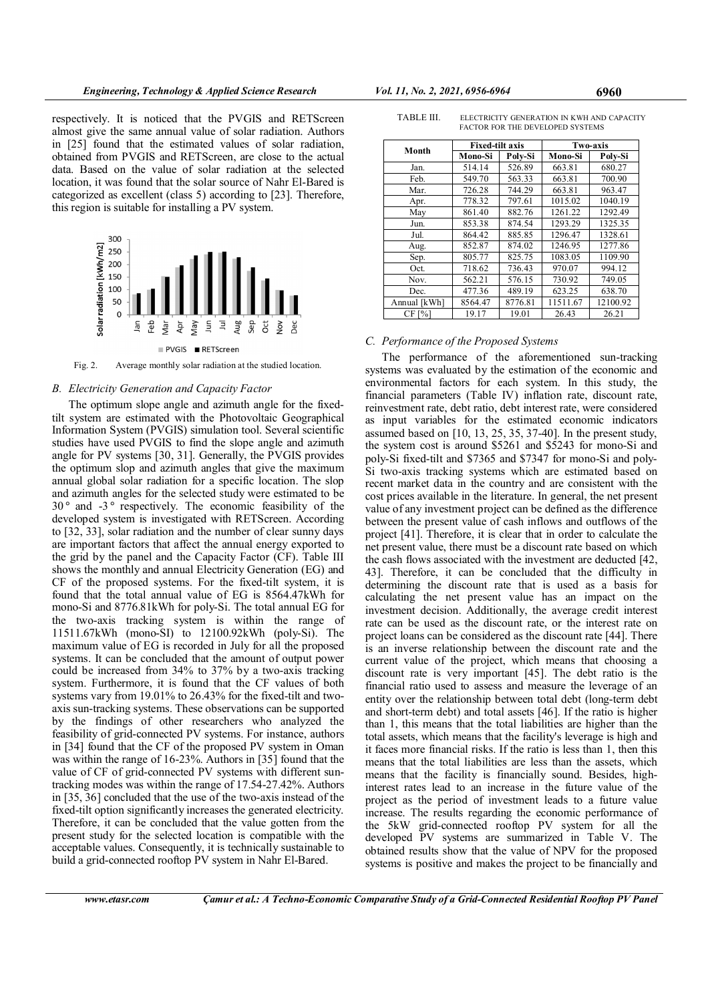respectively. It is noticed that the PVGIS and RETScreen almost give the same annual value of solar radiation. Authors in [25] found that the estimated values of solar radiation, obtained from PVGIS and RETScreen, are close to the actual data. Based on the value of solar radiation at the selected location, it was found that the solar source of Nahr El-Bared is categorized as excellent (class 5) according to [23]. Therefore, this region is suitable for installing a PV system.



Fig. 2. Average monthly solar radiation at the studied location.

#### B. Electricity Generation and Capacity Factor

The optimum slope angle and azimuth angle for the fixedtilt system are estimated with the Photovoltaic Geographical Information System (PVGIS) simulation tool. Several scientific studies have used PVGIS to find the slope angle and azimuth angle for PV systems [30, 31]. Generally, the PVGIS provides the optimum slop and azimuth angles that give the maximum annual global solar radiation for a specific location. The slop and azimuth angles for the selected study were estimated to be 30 ° and -3 ° respectively. The economic feasibility of the developed system is investigated with RETScreen. According to [32, 33], solar radiation and the number of clear sunny days are important factors that affect the annual energy exported to the grid by the panel and the Capacity Factor (CF). Table III shows the monthly and annual Electricity Generation (EG) and CF of the proposed systems. For the fixed-tilt system, it is found that the total annual value of EG is 8564.47kWh for mono-Si and 8776.81kWh for poly-Si. The total annual EG for the two-axis tracking system is within the range of 11511.67kWh (mono-SI) to 12100.92kWh (poly-Si). The maximum value of EG is recorded in July for all the proposed systems. It can be concluded that the amount of output power could be increased from 34% to 37% by a two-axis tracking system. Furthermore, it is found that the CF values of both systems vary from 19.01% to 26.43% for the fixed-tilt and twoaxis sun-tracking systems. These observations can be supported by the findings of other researchers who analyzed the feasibility of grid-connected PV systems. For instance, authors in [34] found that the CF of the proposed PV system in Oman was within the range of 16-23%. Authors in [35] found that the value of CF of grid-connected PV systems with different suntracking modes was within the range of 17.54-27.42%. Authors in [35, 36] concluded that the use of the two-axis instead of the fixed-tilt option significantly increases the generated electricity. Therefore, it can be concluded that the value gotten from the present study for the selected location is compatible with the acceptable values. Consequently, it is technically sustainable to build a grid-connected rooftop PV system in Nahr El-Bared.

FACTOR FOR THE DEVELOPED SYSTEMS Month Fixed-tilt axis Two-axis<br>Month Mars Si | Pala Si | Mars Si | Pal Mono-Si Poly-Si Mono-Si Poly-Si Jan. 514.14 526.89 663.81 680.27

TABLE III. ELECTRICITY GENERATION IN KWH AND CAPACITY

| Month        | г ілец-ше аліз |         | 1 wu=аліз |          |
|--------------|----------------|---------|-----------|----------|
|              | Mono-Si        | Polv-Si | Mono-Si   | Poly-Si  |
| Jan.         | 514.14         | 526.89  | 663.81    | 680.27   |
| Feb.         | 549.70         | 563.33  | 663.81    | 700.90   |
| Mar.         | 726.28         | 744.29  | 663.81    | 963.47   |
| Apr.         | 778.32         | 797.61  | 1015.02   | 1040.19  |
| May          | 861.40         | 882.76  | 1261.22   | 1292.49  |
| Jun.         | 853.38         | 874.54  | 1293.29   | 1325.35  |
| Jul.         | 864.42         | 885.85  | 1296.47   | 1328.61  |
| Aug.         | 852.87         | 874.02  | 1246.95   | 1277.86  |
| Sep.         | 805.77         | 825.75  | 1083.05   | 1109.90  |
| Oct.         | 718.62         | 736.43  | 970.07    | 994.12   |
| Nov.         | 562.21         | 576.15  | 730.92    | 749.05   |
| Dec.         | 477.36         | 489.19  | 623.25    | 638.70   |
| Annual [kWh] | 8564.47        | 8776.81 | 11511.67  | 12100.92 |
| CF [%]       | 19.17          | 19.01   | 26.43     | 26.21    |

# C. Performance of the Proposed Systems

The performance of the aforementioned sun-tracking systems was evaluated by the estimation of the economic and environmental factors for each system. In this study, the financial parameters (Table IV) inflation rate, discount rate, reinvestment rate, debt ratio, debt interest rate, were considered as input variables for the estimated economic indicators assumed based on [10, 13, 25, 35, 37-40]. In the present study, the system cost is around \$5261 and \$5243 for mono-Si and poly-Si fixed-tilt and \$7365 and \$7347 for mono-Si and poly-Si two-axis tracking systems which are estimated based on recent market data in the country and are consistent with the cost prices available in the literature. In general, the net present value of any investment project can be defined as the difference between the present value of cash inflows and outflows of the project [41]. Therefore, it is clear that in order to calculate the net present value, there must be a discount rate based on which the cash flows associated with the investment are deducted [42, 43]. Therefore, it can be concluded that the difficulty in determining the discount rate that is used as a basis for calculating the net present value has an impact on the investment decision. Additionally, the average credit interest rate can be used as the discount rate, or the interest rate on project loans can be considered as the discount rate [44]. There is an inverse relationship between the discount rate and the current value of the project, which means that choosing a discount rate is very important [45]. The debt ratio is the financial ratio used to assess and measure the leverage of an entity over the relationship between total debt (long-term debt and short-term debt) and total assets [46]. If the ratio is higher than 1, this means that the total liabilities are higher than the total assets, which means that the facility's leverage is high and it faces more financial risks. If the ratio is less than 1, then this means that the total liabilities are less than the assets, which means that the facility is financially sound. Besides, highinterest rates lead to an increase in the future value of the project as the period of investment leads to a future value increase. The results regarding the economic performance of the 5kW grid-connected rooftop PV system for all the developed PV systems are summarized in Table V. The obtained results show that the value of NPV for the proposed systems is positive and makes the project to be financially and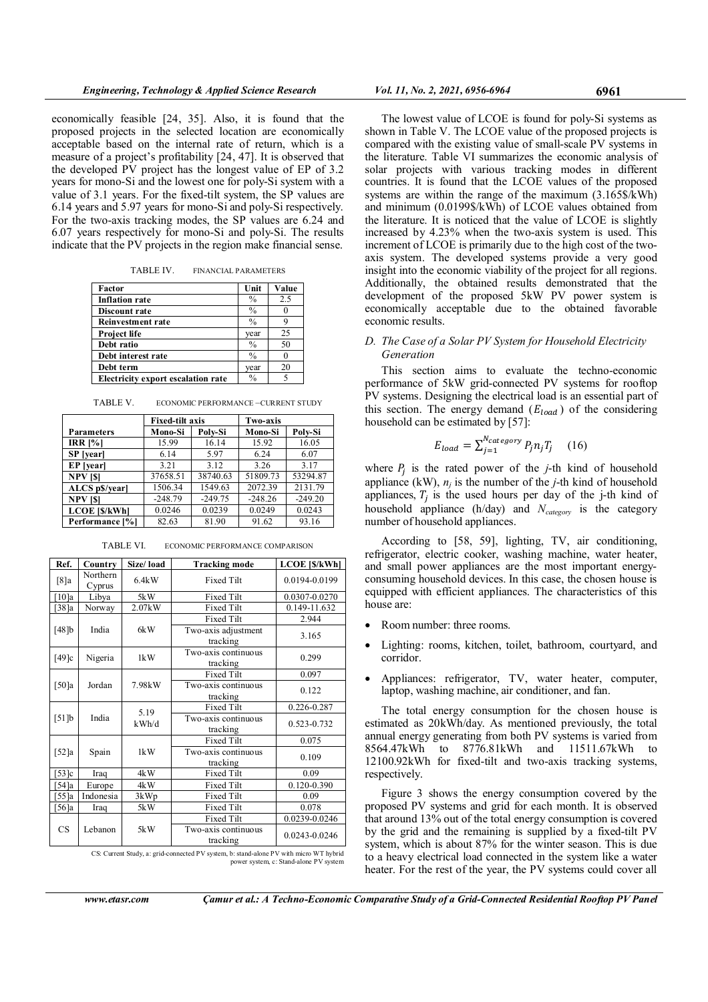economically feasible [24, 35]. Also, it is found that the proposed projects in the selected location are economically acceptable based on the internal rate of return, which is a measure of a project's profitability [24, 47]. It is observed that the developed PV project has the longest value of EP of 3.2 years for mono-Si and the lowest one for poly-Si system with a value of 3.1 years. For the fixed-tilt system, the SP values are 6.14 years and 5.97 years for mono-Si and poly-Si respectively. For the two-axis tracking modes, the SP values are 6.24 and 6.07 years respectively for mono-Si and poly-Si. The results indicate that the PV projects in the region make financial sense.

TABLE IV. FINANCIAL PARAMETERS

| Factor                             | Unit          | Value |
|------------------------------------|---------------|-------|
| <b>Inflation rate</b>              | $\frac{0}{0}$ | 2.5   |
| Discount rate                      | $\frac{0}{0}$ |       |
| <b>Reinvestment rate</b>           | $\frac{0}{0}$ |       |
| Project life                       | vear          | 25    |
| Debt ratio                         | $\frac{0}{0}$ | 50    |
| Debt interest rate                 | $\frac{0}{0}$ |       |
| Debt term                          | vear          | 20    |
| Electricity export escalation rate | $\frac{0}{0}$ |       |

TABLE V. ECONOMIC PERFORMANCE –CURRENT STUDY

|                      | <b>Fixed-tilt axis</b> |           | <b>Two-axis</b> |           |
|----------------------|------------------------|-----------|-----------------|-----------|
| <b>Parameters</b>    | Mono-Si                | Polv-Si   | Mono-Si         | Poly-Si   |
| $IRR$ [%]            | 15.99                  | 16.14     | 15.92           | 16.05     |
| SP [year]            | 6.14                   | 5.97      | 6.24            | 6.07      |
| EP [year]            | 3.21                   | 3.12      | 3.26            | 3.17      |
| <b>NPV</b> [\$]      | 37658.51               | 38740.63  | 51809.73        | 53294.87  |
| ALCS p\$/year]       | 1506.34                | 1549.63   | 2072.39         | 2131.79   |
| <b>NPV [\$]</b>      | $-248.79$              | $-249.75$ | $-248.26$       | $-249.20$ |
| <b>LCOE [\$/kWh]</b> | 0.0246                 | 0.0239    | 0.0249          | 0.0243    |
| Performance [%]      | 82.63                  | 81.90     | 91.62           | 93.16     |

TABLE VI. ECONOMIC PERFORMANCE COMPARISON

| Ref.                         | Country            | Size/load | <b>Tracking mode</b>            | <b>LCOE</b> [\$/kWh] |                                 |             |
|------------------------------|--------------------|-----------|---------------------------------|----------------------|---------------------------------|-------------|
| [8]a                         | Northern<br>Cyprus | 6.4kW     | <b>Fixed Tilt</b>               | 0.0194-0.0199        |                                 |             |
| $\lceil 10 \rceil a$         | Libya              | 5kW       | Fixed Tilt                      | 0.0307-0.0270        |                                 |             |
| [38]a                        | Norway             | 2.07kW    | <b>Fixed Tilt</b>               | 0.149-11.632         |                                 |             |
|                              |                    |           | <b>Fixed Tilt</b>               | 2.944                |                                 |             |
| [48]b                        | India              | 6kW       | Two-axis adjustment<br>tracking | 3.165                |                                 |             |
| [49] $c$                     | Nigeria            | 1kW       | Two-axis continuous<br>tracking | 0.299                |                                 |             |
|                              |                    |           | <b>Fixed Tilt</b>               | 0.097                |                                 |             |
| [50]a                        | Jordan             | 7.98kW    | Two-axis continuous<br>tracking | 0.122                |                                 |             |
|                              |                    | 5.19      | Fixed Tilt                      | 0.226-0.287          |                                 |             |
| [51]b                        | India              |           |                                 | kWh/d                | Two-axis continuous<br>tracking | 0.523-0.732 |
|                              |                    |           | <b>Fixed Tilt</b>               | 0.075                |                                 |             |
| Spain<br>$\left[52\right]$ a |                    | 1kW       | Two-axis continuous<br>tracking | 0.109                |                                 |             |
| [53]c                        | Iraq               | 4kW       | <b>Fixed Tilt</b>               | 0.09                 |                                 |             |
| $54$ ]a                      | Europe             | 4kW       | <b>Fixed Tilt</b>               | 0.120-0.390          |                                 |             |
| [55]a                        | Indonesia          | 3kWp      | <b>Fixed Tilt</b>               | 0.09                 |                                 |             |
| 56a                          | Iraq               | 5kW       | <b>Fixed Tilt</b>               | 0.078                |                                 |             |
|                              |                    |           | <b>Fixed Tilt</b>               | 0.0239-0.0246        |                                 |             |
| <b>CS</b>                    | Lebanon            | 5kW       | Two-axis continuous<br>tracking | 0.0243-0.0246        |                                 |             |

CS: Current Study, a: grid-connected PV system, b: stand-alone PV with micro WT hybrid power system, c: Stand-alone PV system

The lowest value of LCOE is found for poly-Si systems as shown in Table V. The LCOE value of the proposed projects is compared with the existing value of small-scale PV systems in the literature. Table VI summarizes the economic analysis of solar projects with various tracking modes in different countries. It is found that the LCOE values of the proposed systems are within the range of the maximum  $(3.165\sqrt{3}kWh)$ and minimum (0.0199\$/kWh) of LCOE values obtained from the literature. It is noticed that the value of LCOE is slightly increased by 4.23% when the two-axis system is used. This increment of LCOE is primarily due to the high cost of the twoaxis system. The developed systems provide a very good insight into the economic viability of the project for all regions. Additionally, the obtained results demonstrated that the development of the proposed 5kW PV power system is economically acceptable due to the obtained favorable economic results.

# D. The Case of a Solar PV System for Household Electricity Generation

This section aims to evaluate the techno-economic performance of 5kW grid-connected PV systems for rooftop PV systems. Designing the electrical load is an essential part of this section. The energy demand  $(E_{load})$  of the considering household can be estimated by [57]:

$$
E_{load} = \sum_{j=1}^{N_{category}} P_j n_j T_j \quad (16)
$$

where  $P_j$  is the rated power of the *j*-th kind of household appliance (kW),  $n_j$  is the number of the *j*-th kind of household appliances,  $T_j$  is the used hours per day of the j-th kind of household appliance (h/day) and  $N_{categor}$  is the category number of household appliances.

According to [58, 59], lighting, TV, air conditioning, refrigerator, electric cooker, washing machine, water heater, and small power appliances are the most important energyconsuming household devices. In this case, the chosen house is equipped with efficient appliances. The characteristics of this house are:

- Room number: three rooms.
- Lighting: rooms, kitchen, toilet, bathroom, courtyard, and corridor.
- Appliances: refrigerator, TV, water heater, computer, laptop, washing machine, air conditioner, and fan.

The total energy consumption for the chosen house is estimated as 20kWh/day. As mentioned previously, the total annual energy generating from both PV systems is varied from 8564.47kWh to 8776.81kWh and 11511.67kWh to 12100.92kWh for fixed-tilt and two-axis tracking systems, respectively.

Figure 3 shows the energy consumption covered by the proposed PV systems and grid for each month. It is observed that around 13% out of the total energy consumption is covered by the grid and the remaining is supplied by a fixed-tilt PV system, which is about 87% for the winter season. This is due to a heavy electrical load connected in the system like a water heater. For the rest of the year, the PV systems could cover all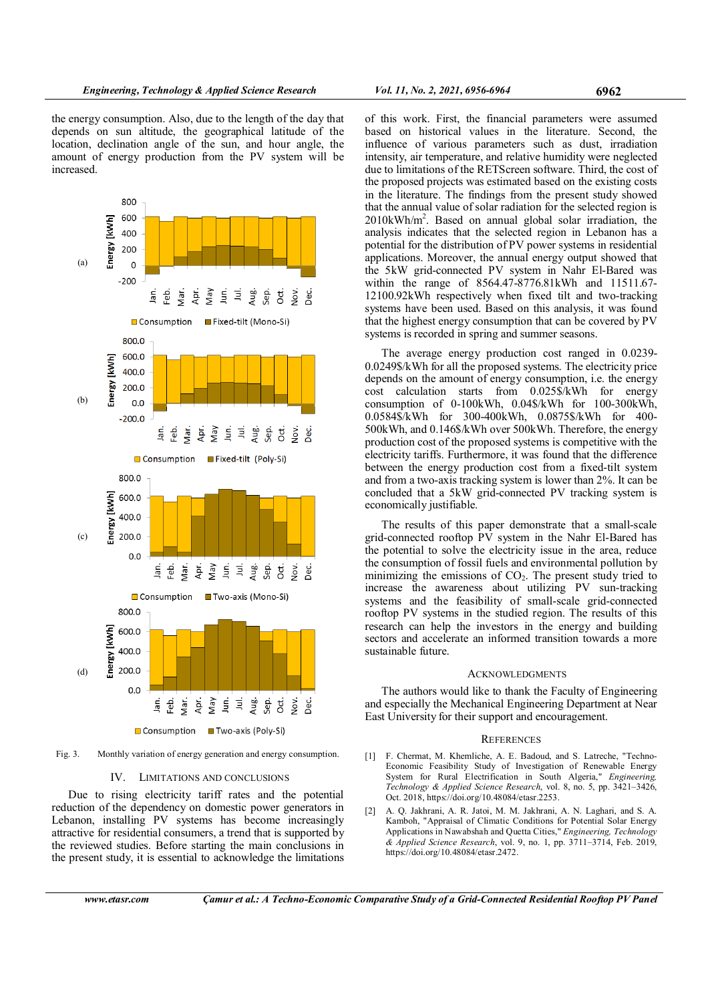the energy consumption. Also, due to the length of the day that depends on sun altitude, the geographical latitude of the location, declination angle of the sun, and hour angle, the amount of energy production from the PV system will be increased.



□ Consumption ■ Two-axis (Poly-Si)

Fig. 3. Monthly variation of energy generation and energy consumption.

#### IV. LIMITATIONS AND CONCLUSIONS

Due to rising electricity tariff rates and the potential reduction of the dependency on domestic power generators in Lebanon, installing PV systems has become increasingly attractive for residential consumers, a trend that is supported by the reviewed studies. Before starting the main conclusions in the present study, it is essential to acknowledge the limitations of this work. First, the financial parameters were assumed based on historical values in the literature. Second, the influence of various parameters such as dust, irradiation intensity, air temperature, and relative humidity were neglected due to limitations of the RETScreen software. Third, the cost of the proposed projects was estimated based on the existing costs in the literature. The findings from the present study showed that the annual value of solar radiation for the selected region is 2010kWh/m<sup>2</sup> . Based on annual global solar irradiation, the analysis indicates that the selected region in Lebanon has a potential for the distribution of PV power systems in residential applications. Moreover, the annual energy output showed that the 5kW grid-connected PV system in Nahr El-Bared was within the range of 8564.47-8776.81kWh and 11511.67- 12100.92kWh respectively when fixed tilt and two-tracking systems have been used. Based on this analysis, it was found that the highest energy consumption that can be covered by PV systems is recorded in spring and summer seasons.

The average energy production cost ranged in 0.0239- 0.0249\$/kWh for all the proposed systems. The electricity price depends on the amount of energy consumption, i.e. the energy cost calculation starts from 0.025\$/kWh for energy consumption of 0-100kWh, 0.04\$/kWh for 100-300kWh, 0.0584\$/kWh for 300-400kWh, 0.0875\$/kWh for 400- 500kWh, and 0.146\$/kWh over 500kWh. Therefore, the energy production cost of the proposed systems is competitive with the electricity tariffs. Furthermore, it was found that the difference between the energy production cost from a fixed-tilt system and from a two-axis tracking system is lower than 2%. It can be concluded that a 5kW grid-connected PV tracking system is economically justifiable.

The results of this paper demonstrate that a small-scale grid-connected rooftop PV system in the Nahr El-Bared has the potential to solve the electricity issue in the area, reduce the consumption of fossil fuels and environmental pollution by minimizing the emissions of  $CO<sub>2</sub>$ . The present study tried to increase the awareness about utilizing PV sun-tracking systems and the feasibility of small-scale grid-connected rooftop PV systems in the studied region. The results of this research can help the investors in the energy and building sectors and accelerate an informed transition towards a more sustainable future.

#### **ACKNOWLEDGMENTS**

The authors would like to thank the Faculty of Engineering and especially the Mechanical Engineering Department at Near East University for their support and encouragement.

#### **REFERENCES**

- [1] F. Chermat, M. Khemliche, A. E. Badoud, and S. Latreche, "Techno-Economic Feasibility Study of Investigation of Renewable Energy System for Rural Electrification in South Algeria," Engineering, Technology & Applied Science Research, vol. 8, no. 5, pp. 3421–3426, Oct. 2018, https://doi.org/10.48084/etasr.2253.
- [2] A. Q. Jakhrani, A. R. Jatoi, M. M. Jakhrani, A. N. Laghari, and S. A. Kamboh, "Appraisal of Climatic Conditions for Potential Solar Energy Applications in Nawabshah and Quetta Cities," Engineering, Technology & Applied Science Research, vol. 9, no. 1, pp. 3711–3714, Feb. 2019, https://doi.org/10.48084/etasr.2472.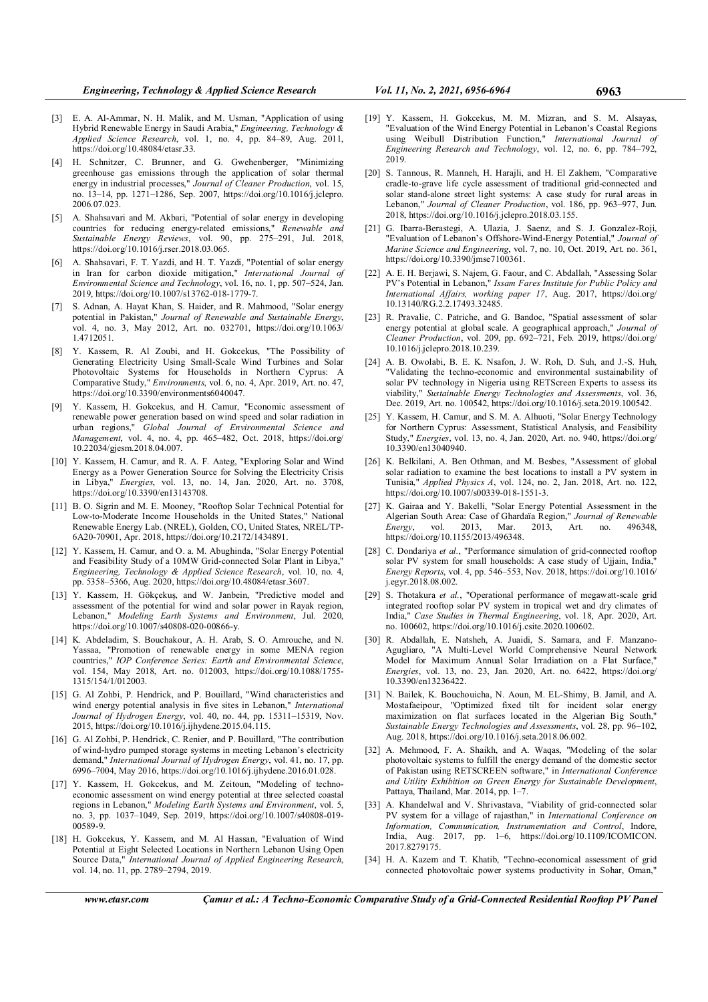- [4] H. Schnitzer, C. Brunner, and G. Gwehenberger, "Minimizing greenhouse gas emissions through the application of solar thermal energy in industrial processes," Journal of Cleaner Production, vol. 15, no. 13–14, pp. 1271–1286, Sep. 2007, https://doi.org/10.1016/j.jclepro. 2006.07.023.
- [5] A. Shahsavari and M. Akbari, "Potential of solar energy in developing countries for reducing energy-related emissions," Renewable and Sustainable Energy Reviews, vol. 90, pp. 275–291, Jul. 2018, https://doi.org/10.1016/j.rser.2018.03.065.
- [6] A. Shahsavari, F. T. Yazdi, and H. T. Yazdi, "Potential of solar energy in Iran for carbon dioxide mitigation," International Journal of Environmental Science and Technology, vol. 16, no. 1, pp. 507–524, Jan. 2019, https://doi.org/10.1007/s13762-018-1779-7.
- [7] S. Adnan, A. Hayat Khan, S. Haider, and R. Mahmood, "Solar energy potential in Pakistan," Journal of Renewable and Sustainable Energy, vol. 4, no. 3, May 2012, Art. no. 032701, https://doi.org/10.1063/ 1.4712051.
- [8] Y. Kassem, R. Al Zoubi, and H. Gokcekus, "The Possibility of Generating Electricity Using Small-Scale Wind Turbines and Solar Photovoltaic Systems for Households in Northern Cyprus: A Comparative Study," Environments, vol. 6, no. 4, Apr. 2019, Art. no. 47, https://doi.org/10.3390/environments6040047.
- [9] Y. Kassem, H. Gokcekus, and H. Camur, "Economic assessment of renewable power generation based on wind speed and solar radiation in<br>urban regions " Global Journal of Environmental Science and Global Journal of Environmental Science and Management, vol. 4, no. 4, pp. 465–482, Oct. 2018, https://doi.org/ 10.22034/gjesm.2018.04.007.
- [10] Y. Kassem, H. Camur, and R. A. F. Aateg, "Exploring Solar and Wind Energy as a Power Generation Source for Solving the Electricity Crisis in Libya," Energies, vol. 13, no. 14, Jan. 2020, Art. no. 3708, https://doi.org/10.3390/en13143708.
- [11] B. O. Sigrin and M. E. Mooney, "Rooftop Solar Technical Potential for Low-to-Moderate Income Households in the United States," National Renewable Energy Lab. (NREL), Golden, CO, United States, NREL/TP-6A20-70901, Apr. 2018, https://doi.org/10.2172/1434891.
- [12] Y. Kassem, H. Camur, and O. a. M. Abughinda, "Solar Energy Potential and Feasibility Study of a 10MW Grid-connected Solar Plant in Libya," Engineering, Technology & Applied Science Research, vol. 10, no. 4, pp. 5358–5366, Aug. 2020, https://doi.org/10.48084/etasr.3607.
- [13] Y. Kassem, H. Gökçekuş, and W. Janbein, "Predictive model and assessment of the potential for wind and solar power in Rayak region, Lebanon," Modeling Earth Systems and Environment, Jul. 2020, https://doi.org/10.1007/s40808-020-00866-y.
- [14] K. Abdeladim, S. Bouchakour, A. H. Arab, S. O. Amrouche, and N. Yassaa, "Promotion of renewable energy in some MENA region countries," IOP Conference Series: Earth and Environmental Science, vol. 154, May 2018, Art. no. 012003, https://doi.org/10.1088/1755- 1315/154/1/012003.
- [15] G. Al Zohbi, P. Hendrick, and P. Bouillard, "Wind characteristics and wind energy potential analysis in five sites in Lebanon," International Journal of Hydrogen Energy, vol. 40, no. 44, pp. 15311–15319, Nov. 2015, https://doi.org/10.1016/j.ijhydene.2015.04.115.
- [16] G. Al Zohbi, P. Hendrick, C. Renier, and P. Bouillard, "The contribution of wind-hydro pumped storage systems in meeting Lebanon's electricity demand," International Journal of Hydrogen Energy, vol. 41, no. 17, pp. 6996–7004, May 2016, https://doi.org/10.1016/j.ijhydene.2016.01.028.
- [17] Y. Kassem, H. Gokcekus, and M. Zeitoun, "Modeling of technoeconomic assessment on wind energy potential at three selected coastal regions in Lebanon," Modeling Earth Systems and Environment, vol. 5, no. 3, pp. 1037–1049, Sep. 2019, https://doi.org/10.1007/s40808-019- 00589-9.
- [18] H. Gokcekus, Y. Kassem, and M. Al Hassan, "Evaluation of Wind Potential at Eight Selected Locations in Northern Lebanon Using Open Source Data," International Journal of Applied Engineering Research, vol. 14, no. 11, pp. 2789–2794, 2019.
- [19] Y. Kassem, H. Gokcekus, M. M. Mizran, and S. M. Alsayas, "Evaluation of the Wind Energy Potential in Lebanon's Coastal Regions using Weibull Distribution Function," International Journal of Engineering Research and Technology, vol. 12, no. 6, pp. 784–792, 2019.
- [20] S. Tannous, R. Manneh, H. Harajli, and H. El Zakhem, "Comparative cradle-to-grave life cycle assessment of traditional grid-connected and solar stand-alone street light systems: A case study for rural areas in Lebanon," Journal of Cleaner Production, vol. 186, pp. 963–977, Jun. 2018, https://doi.org/10.1016/j.jclepro.2018.03.155.
- [21] G. Ibarra-Berastegi, A. Ulazia, J. Saenz, and S. J. Gonzalez-Roji, "Evaluation of Lebanon's Offshore-Wind-Energy Potential," Journal of Marine Science and Engineering, vol. 7, no. 10, Oct. 2019, Art. no. 361, https://doi.org/10.3390/jmse7100361.
- [22] A. E. H. Berjawi, S. Najem, G. Faour, and C. Abdallah, "Assessing Solar PV's Potential in Lebanon," Issam Fares Institute for Public Policy and International Affairs, working paper 17, Aug. 2017, https://doi.org/ 10.13140/RG.2.2.17493.32485.
- [23] R. Pravalie, C. Patriche, and G. Bandoc, "Spatial assessment of solar energy potential at global scale. A geographical approach," Journal of Cleaner Production, vol. 209, pp. 692–721, Feb. 2019, https://doi.org/ 10.1016/j.jclepro.2018.10.239.
- [24] A. B. Owolabi, B. E. K. Nsafon, J. W. Roh, D. Suh, and J.-S. Huh, "Validating the techno-economic and environmental sustainability of solar PV technology in Nigeria using RETScreen Experts to assess its viability," Sustainable Energy Technologies and Assessments, vol. 36, Dec. 2019, Art. no. 100542, https://doi.org/10.1016/j.seta.2019.100542.
- [25] Y. Kassem, H. Camur, and S. M. A. Alhuoti, "Solar Energy Technology for Northern Cyprus: Assessment, Statistical Analysis, and Feasibility Study," Energies, vol. 13, no. 4, Jan. 2020, Art. no. 940, https://doi.org/ 10.3390/en13040940.
- [26] K. Belkilani, A. Ben Othman, and M. Besbes, "Assessment of global solar radiation to examine the best locations to install a PV system in Tunisia," Applied Physics A, vol. 124, no. 2, Jan. 2018, Art. no. 122, https://doi.org/10.1007/s00339-018-1551-3.
- [27] K. Gairaa and Y. Bakelli, "Solar Energy Potential Assessment in the Algerian South Area: Case of Ghardaïa Region," Journal of Renewable<br>Energy, vol. 2013, Mar. 2013, Art. no. 496348, Energy, vol. 2013, Mar. 2013, Art. no. 496348, https://doi.org/10.1155/2013/496348.
- [28] C. Dondariya et al., "Performance simulation of grid-connected rooftop solar PV system for small households: A case study of Ujjain, India, Energy Reports, vol. 4, pp. 546–553, Nov. 2018, https://doi.org/10.1016/ j.egyr.2018.08.002.
- [29] S. Thotakura et al., "Operational performance of megawatt-scale grid integrated rooftop solar PV system in tropical wet and dry climates of India," Case Studies in Thermal Engineering, vol. 18, Apr. 2020, Art. no. 100602, https://doi.org/10.1016/j.csite.2020.100602.
- [30] R. Abdallah, E. Natsheh, A. Juaidi, S. Samara, and F. Manzano-Agugliaro, "A Multi-Level World Comprehensive Neural Network Model for Maximum Annual Solar Irradiation on a Flat Surface," Energies, vol. 13, no. 23, Jan. 2020, Art. no. 6422, https://doi.org/ 10.3390/en13236422.
- [31] N. Bailek, K. Bouchouicha, N. Aoun, M. EL-Shimy, B. Jamil, and A. Mostafaeipour, "Optimized fixed tilt for incident solar energy maximization on flat surfaces located in the Algerian Big South, Sustainable Energy Technologies and Assessments, vol. 28, pp. 96–102, Aug. 2018, https://doi.org/10.1016/j.seta.2018.06.002.
- [32] A. Mehmood, F. A. Shaikh, and A. Waqas, "Modeling of the solar photovoltaic systems to fulfill the energy demand of the domestic sector of Pakistan using RETSCREEN software," in International Conference and Utility Exhibition on Green Energy for Sustainable Development, Pattaya, Thailand, Mar. 2014, pp. 1–7.
- [33] A. Khandelwal and V. Shrivastava, "Viability of grid-connected solar PV system for a village of rajasthan," in International Conference on Information, Communication, Instrumentation and Control, Indore, India, Aug. 2017, pp. 1–6, https://doi.org/10.1109/ICOMICON. 2017.8279175.
- [34] H. A. Kazem and T. Khatib, "Techno-economical assessment of grid connected photovoltaic power systems productivity in Sohar, Oman,"